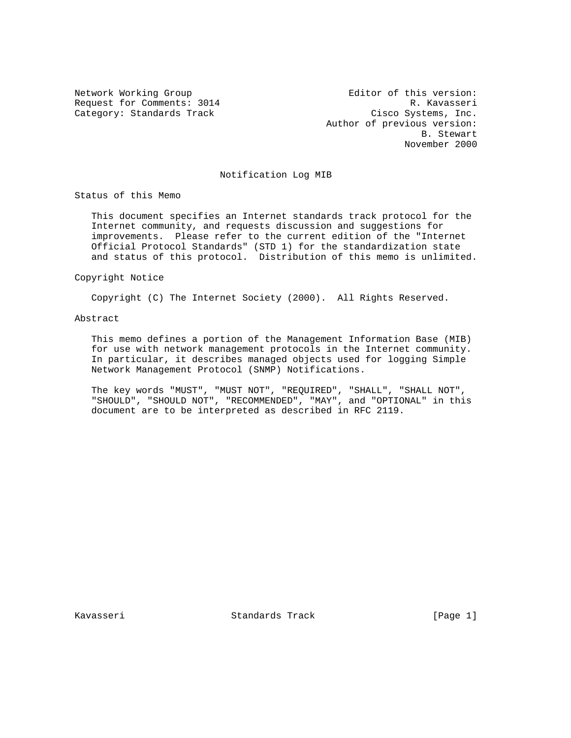Network Working Group Editor of this version: Request for Comments: 3014 R. Kavasseri Category: Standards Track Cisco Systems, Inc. Author of previous version: B. Stewart November 2000

## Notification Log MIB

Status of this Memo

 This document specifies an Internet standards track protocol for the Internet community, and requests discussion and suggestions for improvements. Please refer to the current edition of the "Internet Official Protocol Standards" (STD 1) for the standardization state and status of this protocol. Distribution of this memo is unlimited.

Copyright Notice

Copyright (C) The Internet Society (2000). All Rights Reserved.

## Abstract

 This memo defines a portion of the Management Information Base (MIB) for use with network management protocols in the Internet community. In particular, it describes managed objects used for logging Simple Network Management Protocol (SNMP) Notifications.

 The key words "MUST", "MUST NOT", "REQUIRED", "SHALL", "SHALL NOT", "SHOULD", "SHOULD NOT", "RECOMMENDED", "MAY", and "OPTIONAL" in this document are to be interpreted as described in RFC 2119.

Kavasseri Standards Track [Page 1]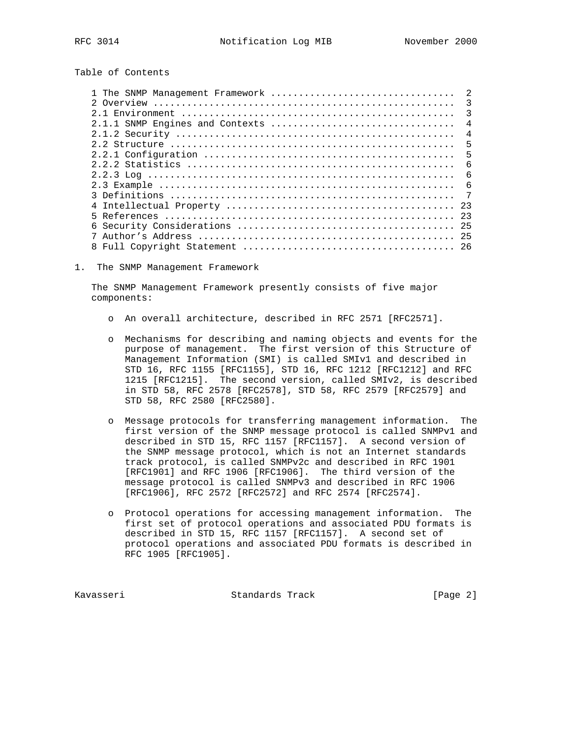Table of Contents

| 1 The SNMP Management Framework | -2                      |
|---------------------------------|-------------------------|
|                                 | $\overline{\mathbf{3}}$ |
|                                 | $\mathcal{R}$           |
| 2.1.1 SNMP Engines and Contexts | $\overline{4}$          |
|                                 | $\overline{4}$          |
|                                 | 5                       |
|                                 | $\overline{5}$          |
|                                 | - 6                     |
|                                 | $\epsilon$              |
|                                 | - 6                     |
|                                 | $\overline{7}$          |
|                                 | 23                      |
|                                 |                         |
|                                 |                         |
|                                 |                         |
|                                 |                         |

1. The SNMP Management Framework

 The SNMP Management Framework presently consists of five major components:

- o An overall architecture, described in RFC 2571 [RFC2571].
- o Mechanisms for describing and naming objects and events for the purpose of management. The first version of this Structure of Management Information (SMI) is called SMIv1 and described in STD 16, RFC 1155 [RFC1155], STD 16, RFC 1212 [RFC1212] and RFC 1215 [RFC1215]. The second version, called SMIv2, is described in STD 58, RFC 2578 [RFC2578], STD 58, RFC 2579 [RFC2579] and STD 58, RFC 2580 [RFC2580].
- o Message protocols for transferring management information. The first version of the SNMP message protocol is called SNMPv1 and described in STD 15, RFC 1157 [RFC1157]. A second version of the SNMP message protocol, which is not an Internet standards track protocol, is called SNMPv2c and described in RFC 1901 [RFC1901] and RFC 1906 [RFC1906]. The third version of the message protocol is called SNMPv3 and described in RFC 1906 [RFC1906], RFC 2572 [RFC2572] and RFC 2574 [RFC2574].
- o Protocol operations for accessing management information. The first set of protocol operations and associated PDU formats is described in STD 15, RFC 1157 [RFC1157]. A second set of protocol operations and associated PDU formats is described in RFC 1905 [RFC1905].

Kavasseri Standards Track [Page 2]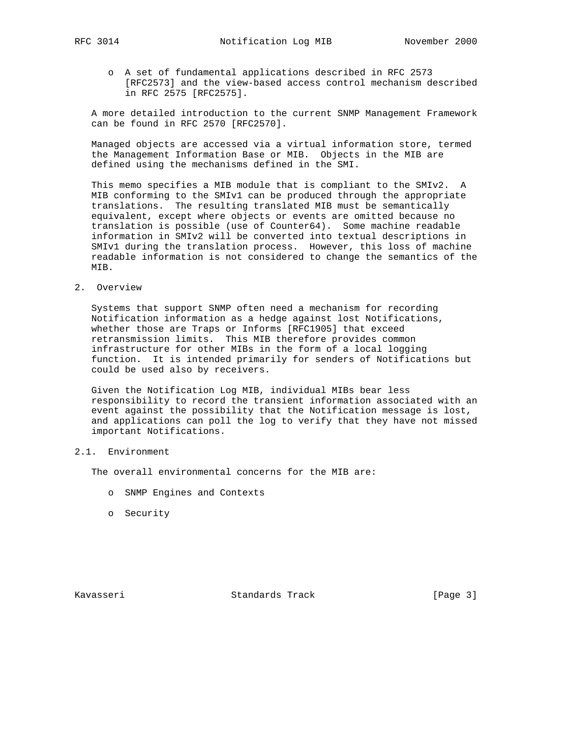o A set of fundamental applications described in RFC 2573 [RFC2573] and the view-based access control mechanism described in RFC 2575 [RFC2575].

 A more detailed introduction to the current SNMP Management Framework can be found in RFC 2570 [RFC2570].

 Managed objects are accessed via a virtual information store, termed the Management Information Base or MIB. Objects in the MIB are defined using the mechanisms defined in the SMI.

 This memo specifies a MIB module that is compliant to the SMIv2. A MIB conforming to the SMIv1 can be produced through the appropriate translations. The resulting translated MIB must be semantically equivalent, except where objects or events are omitted because no translation is possible (use of Counter64). Some machine readable information in SMIv2 will be converted into textual descriptions in SMIv1 during the translation process. However, this loss of machine readable information is not considered to change the semantics of the MIB.

2. Overview

 Systems that support SNMP often need a mechanism for recording Notification information as a hedge against lost Notifications, whether those are Traps or Informs [RFC1905] that exceed retransmission limits. This MIB therefore provides common infrastructure for other MIBs in the form of a local logging function. It is intended primarily for senders of Notifications but could be used also by receivers.

 Given the Notification Log MIB, individual MIBs bear less responsibility to record the transient information associated with an event against the possibility that the Notification message is lost, and applications can poll the log to verify that they have not missed important Notifications.

## 2.1. Environment

The overall environmental concerns for the MIB are:

- o SNMP Engines and Contexts
- o Security

Kavasseri Standards Track [Page 3]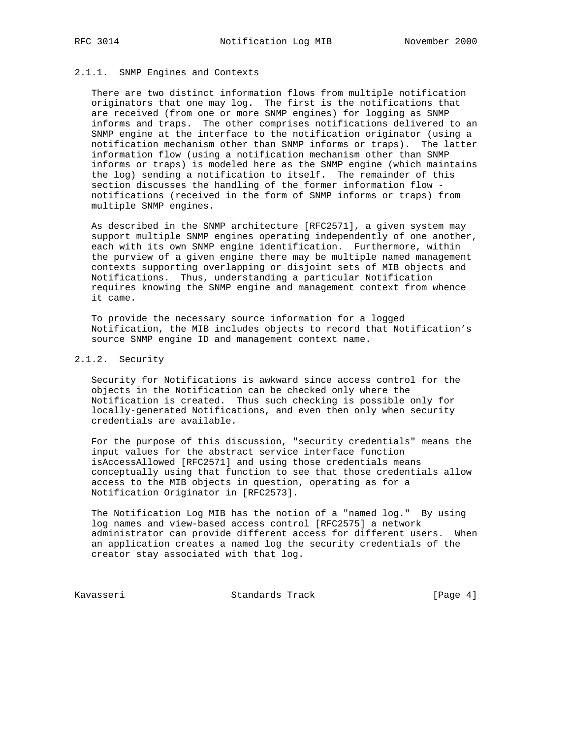## 2.1.1. SNMP Engines and Contexts

 There are two distinct information flows from multiple notification originators that one may log. The first is the notifications that are received (from one or more SNMP engines) for logging as SNMP informs and traps. The other comprises notifications delivered to an SNMP engine at the interface to the notification originator (using a notification mechanism other than SNMP informs or traps). The latter information flow (using a notification mechanism other than SNMP informs or traps) is modeled here as the SNMP engine (which maintains the log) sending a notification to itself. The remainder of this section discusses the handling of the former information flow notifications (received in the form of SNMP informs or traps) from multiple SNMP engines.

 As described in the SNMP architecture [RFC2571], a given system may support multiple SNMP engines operating independently of one another, each with its own SNMP engine identification. Furthermore, within the purview of a given engine there may be multiple named management contexts supporting overlapping or disjoint sets of MIB objects and Notifications. Thus, understanding a particular Notification requires knowing the SNMP engine and management context from whence it came.

 To provide the necessary source information for a logged Notification, the MIB includes objects to record that Notification's source SNMP engine ID and management context name.

## 2.1.2. Security

 Security for Notifications is awkward since access control for the objects in the Notification can be checked only where the Notification is created. Thus such checking is possible only for locally-generated Notifications, and even then only when security credentials are available.

 For the purpose of this discussion, "security credentials" means the input values for the abstract service interface function isAccessAllowed [RFC2571] and using those credentials means conceptually using that function to see that those credentials allow access to the MIB objects in question, operating as for a Notification Originator in [RFC2573].

 The Notification Log MIB has the notion of a "named log." By using log names and view-based access control [RFC2575] a network administrator can provide different access for different users. When an application creates a named log the security credentials of the creator stay associated with that log.

Kavasseri Standards Track [Page 4]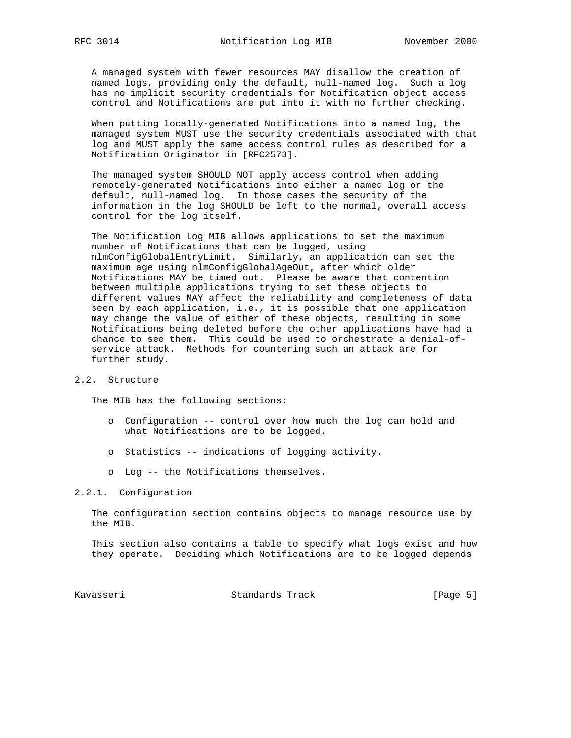A managed system with fewer resources MAY disallow the creation of named logs, providing only the default, null-named log. Such a log has no implicit security credentials for Notification object access control and Notifications are put into it with no further checking.

 When putting locally-generated Notifications into a named log, the managed system MUST use the security credentials associated with that log and MUST apply the same access control rules as described for a Notification Originator in [RFC2573].

 The managed system SHOULD NOT apply access control when adding remotely-generated Notifications into either a named log or the default, null-named log. In those cases the security of the information in the log SHOULD be left to the normal, overall access control for the log itself.

 The Notification Log MIB allows applications to set the maximum number of Notifications that can be logged, using nlmConfigGlobalEntryLimit. Similarly, an application can set the maximum age using nlmConfigGlobalAgeOut, after which older Notifications MAY be timed out. Please be aware that contention between multiple applications trying to set these objects to different values MAY affect the reliability and completeness of data seen by each application, i.e., it is possible that one application may change the value of either of these objects, resulting in some Notifications being deleted before the other applications have had a chance to see them. This could be used to orchestrate a denial-of service attack. Methods for countering such an attack are for further study.

## 2.2. Structure

The MIB has the following sections:

- o Configuration -- control over how much the log can hold and what Notifications are to be logged.
- o Statistics -- indications of logging activity.
- o Log -- the Notifications themselves.

#### 2.2.1. Configuration

 The configuration section contains objects to manage resource use by the MIB.

 This section also contains a table to specify what logs exist and how they operate. Deciding which Notifications are to be logged depends

Kavasseri Standards Track [Page 5]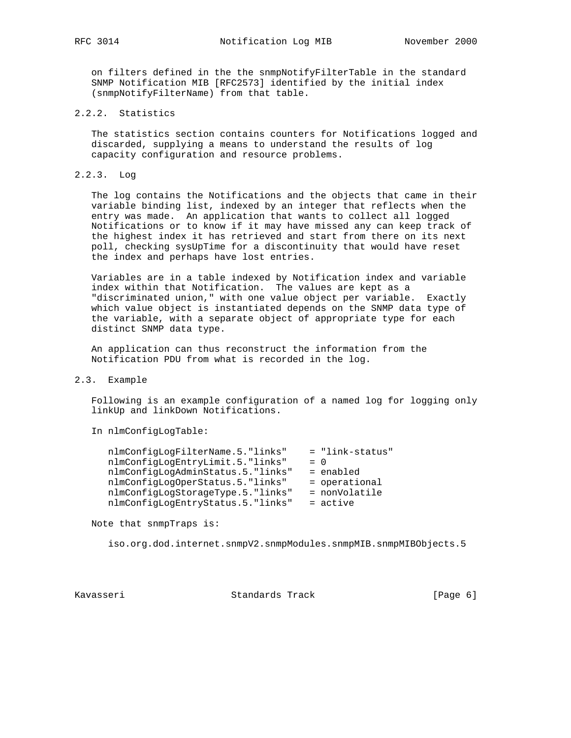on filters defined in the the snmpNotifyFilterTable in the standard SNMP Notification MIB [RFC2573] identified by the initial index (snmpNotifyFilterName) from that table.

## 2.2.2. Statistics

 The statistics section contains counters for Notifications logged and discarded, supplying a means to understand the results of log capacity configuration and resource problems.

## 2.2.3. Log

 The log contains the Notifications and the objects that came in their variable binding list, indexed by an integer that reflects when the entry was made. An application that wants to collect all logged Notifications or to know if it may have missed any can keep track of the highest index it has retrieved and start from there on its next poll, checking sysUpTime for a discontinuity that would have reset the index and perhaps have lost entries.

 Variables are in a table indexed by Notification index and variable index within that Notification. The values are kept as a "discriminated union," with one value object per variable. Exactly which value object is instantiated depends on the SNMP data type of the variable, with a separate object of appropriate type for each distinct SNMP data type.

 An application can thus reconstruct the information from the Notification PDU from what is recorded in the log.

## 2.3. Example

 Following is an example configuration of a named log for logging only linkUp and linkDown Notifications.

In nlmConfigLogTable:

| nlmConfigLogFilterName.5."links"  | = "link-status" |
|-----------------------------------|-----------------|
| nlmConfiqLoqEntryLimit.5."links"  | $= 0$           |
| nlmConfigLogAdminStatus.5."links" | = enabled       |
| nlmConfiqLoqOperStatus.5."links"  | $=$ operational |
| nlmConfigLogStorageType.5."links" | = nonVolatile   |
| nlmConfigLogEntryStatus.5."links" | $=$ active      |

Note that snmpTraps is:

iso.org.dod.internet.snmpV2.snmpModules.snmpMIB.snmpMIBObjects.5

Kavasseri Standards Track [Page 6]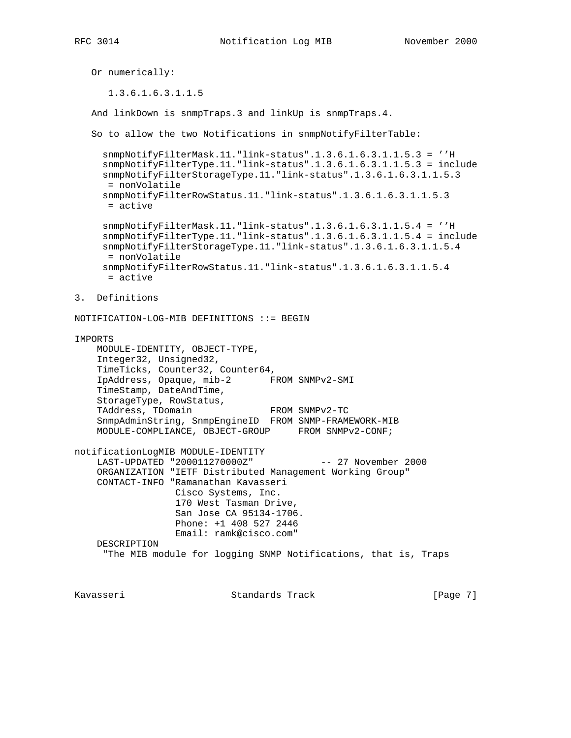```
 Or numerically:
       1.3.6.1.6.3.1.1.5
    And linkDown is snmpTraps.3 and linkUp is snmpTraps.4.
   So to allow the two Notifications in snmpNotifyFilterTable:
      snmpNotifyFilterMask.11."link-status".1.3.6.1.6.3.1.1.5.3 = ''H
      snmpNotifyFilterType.11."link-status".1.3.6.1.6.3.1.1.5.3 = include
      snmpNotifyFilterStorageType.11."link-status".1.3.6.1.6.3.1.1.5.3
      = nonVolatile
      snmpNotifyFilterRowStatus.11."link-status".1.3.6.1.6.3.1.1.5.3
       = active
      snmpNotifyFilterMask.11."link-status".1.3.6.1.6.3.1.1.5.4 = ''H
      snmpNotifyFilterType.11."link-status".1.3.6.1.6.3.1.1.5.4 = include
      snmpNotifyFilterStorageType.11."link-status".1.3.6.1.6.3.1.1.5.4
      = nonVolatile
      snmpNotifyFilterRowStatus.11."link-status".1.3.6.1.6.3.1.1.5.4
      = active
3. Definitions
NOTIFICATION-LOG-MIB DEFINITIONS ::= BEGIN
IMPORTS
     MODULE-IDENTITY, OBJECT-TYPE,
     Integer32, Unsigned32,
     TimeTicks, Counter32, Counter64,
     IpAddress, Opaque, mib-2 FROM SNMPv2-SMI
     TimeStamp, DateAndTime,
     StorageType, RowStatus,
    TAddress, TDomain FROM SNMPv2-TC
     SnmpAdminString, SnmpEngineID FROM SNMP-FRAMEWORK-MIB
    MODULE-COMPLIANCE, OBJECT-GROUP FROM SNMPv2-CONF;
notificationLogMIB MODULE-IDENTITY
     LAST-UPDATED "200011270000Z" -- 27 November 2000
     ORGANIZATION "IETF Distributed Management Working Group"
     CONTACT-INFO "Ramanathan Kavasseri
                  Cisco Systems, Inc.
                   170 West Tasman Drive,
                   San Jose CA 95134-1706.
                   Phone: +1 408 527 2446
                  Email: ramk@cisco.com"
     DESCRIPTION
      "The MIB module for logging SNMP Notifications, that is, Traps
```
Kavasseri Standards Track [Page 7]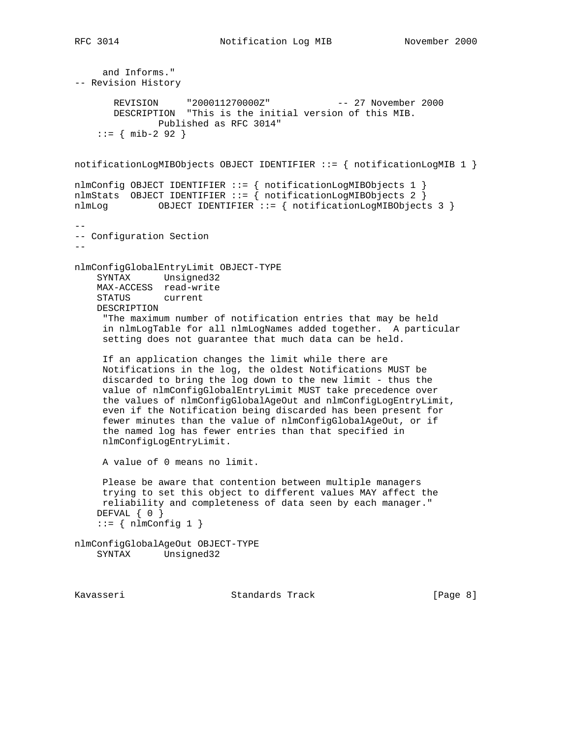and Informs." -- Revision History REVISION "200011270000Z" -- 27 November 2000 DESCRIPTION "This is the initial version of this MIB. Published as RFC 3014"  $::=$  { mib-2 92 } notificationLogMIBObjects OBJECT IDENTIFIER ::= { notificationLogMIB 1 } nlmConfig OBJECT IDENTIFIER ::= { notificationLogMIBObjects 1 } nlmStats OBJECT IDENTIFIER ::=  $\hat{i}$  notificationLogMIBObjects 2  $\hat{j}$ nlmLog OBJECT IDENTIFIER ::= { notificationLogMIBObjects 3 } -- -- Configuration Section - nlmConfigGlobalEntryLimit OBJECT-TYPE SYNTAX Unsigned32 MAX-ACCESS read-write STATUS current DESCRIPTION "The maximum number of notification entries that may be held in nlmLogTable for all nlmLogNames added together. A particular setting does not guarantee that much data can be held. If an application changes the limit while there are Notifications in the log, the oldest Notifications MUST be discarded to bring the log down to the new limit - thus the value of nlmConfigGlobalEntryLimit MUST take precedence over the values of nlmConfigGlobalAgeOut and nlmConfigLogEntryLimit, even if the Notification being discarded has been present for fewer minutes than the value of nlmConfigGlobalAgeOut, or if the named log has fewer entries than that specified in nlmConfigLogEntryLimit. A value of 0 means no limit. Please be aware that contention between multiple managers trying to set this object to different values MAY affect the reliability and completeness of data seen by each manager." DEFVAL  $\{ 0 \}$  $::=$  { nlmConfig 1 } nlmConfigGlobalAgeOut OBJECT-TYPE SYNTAX Unsigned32 Kavasseri Standards Track [Page 8]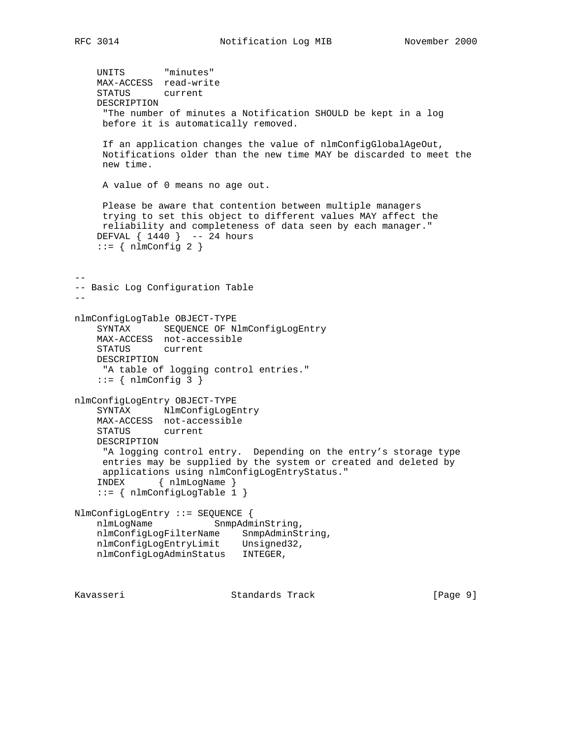```
 UNITS "minutes"
    MAX-ACCESS read-write
    STATUS current
    DESCRIPTION
      "The number of minutes a Notification SHOULD be kept in a log
     before it is automatically removed.
     If an application changes the value of nlmConfigGlobalAgeOut,
     Notifications older than the new time MAY be discarded to meet the
     new time.
     A value of 0 means no age out.
     Please be aware that contention between multiple managers
     trying to set this object to different values MAY affect the
     reliability and completeness of data seen by each manager."
    DEFVAL { 1440 } -- 24 hours
    ::= { nlmConfig 2 }
--
-- Basic Log Configuration Table
-nlmConfigLogTable OBJECT-TYPE
     SYNTAX SEQUENCE OF NlmConfigLogEntry
    MAX-ACCESS not-accessible
    STATUS current
    DESCRIPTION
     "A table of logging control entries."
    ::= { nlmConfig 3 }
nlmConfigLogEntry OBJECT-TYPE
   SYNTAX NlmConfigLogEntry
    MAX-ACCESS not-accessible
    STATUS current
    DESCRIPTION
     "A logging control entry. Depending on the entry's storage type
     entries may be supplied by the system or created and deleted by
     applications using nlmConfigLogEntryStatus."
     INDEX { nlmLogName }
     ::= { nlmConfigLogTable 1 }
NlmConfigLogEntry ::= SEQUENCE {
    nlmLogName SnmpAdminString,
    nlmConfigLogFilterName SnmpAdminString,
    nlmConfigLogEntryLimit Unsigned32,
    nlmConfigLogAdminStatus INTEGER,
```
Kavasseri Standards Track [Page 9]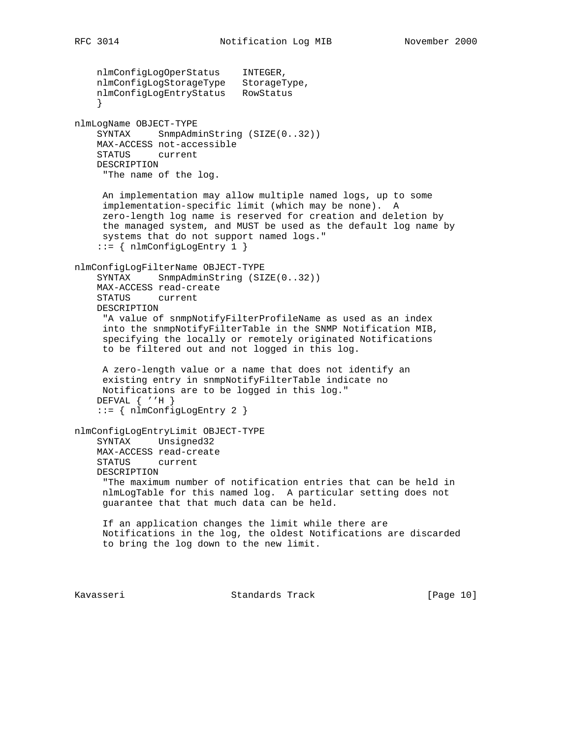nlmConfigLogOperStatus INTEGER, nlmConfigLogStorageType StorageType, nlmConfigLogEntryStatus RowStatus } nlmLogName OBJECT-TYPE SYNTAX SnmpAdminString (SIZE(0..32)) MAX-ACCESS not-accessible STATUS current DESCRIPTION "The name of the log. An implementation may allow multiple named logs, up to some implementation-specific limit (which may be none). A zero-length log name is reserved for creation and deletion by the managed system, and MUST be used as the default log name by systems that do not support named logs." ::= { nlmConfigLogEntry 1 } nlmConfigLogFilterName OBJECT-TYPE SYNTAX SnmpAdminString (SIZE(0..32)) MAX-ACCESS read-create STATUS current DESCRIPTION "A value of snmpNotifyFilterProfileName as used as an index into the snmpNotifyFilterTable in the SNMP Notification MIB, specifying the locally or remotely originated Notifications to be filtered out and not logged in this log. A zero-length value or a name that does not identify an existing entry in snmpNotifyFilterTable indicate no Notifications are to be logged in this log." DEFVAL { ''H } ::= { nlmConfigLogEntry 2 } nlmConfigLogEntryLimit OBJECT-TYPE SYNTAX Unsigned32 MAX-ACCESS read-create STATUS current DESCRIPTION "The maximum number of notification entries that can be held in nlmLogTable for this named log. A particular setting does not guarantee that that much data can be held. If an application changes the limit while there are Notifications in the log, the oldest Notifications are discarded to bring the log down to the new limit. Kavasseri Standards Track [Page 10]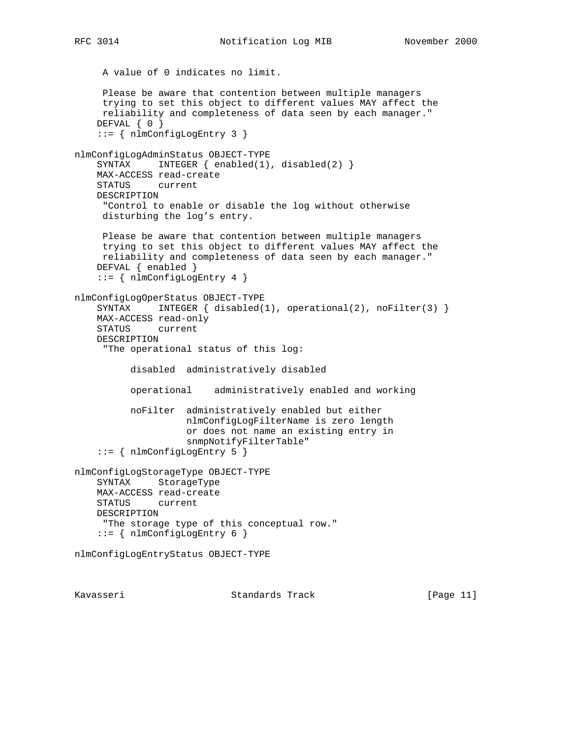```
 A value of 0 indicates no limit.
     Please be aware that contention between multiple managers
     trying to set this object to different values MAY affect the
     reliability and completeness of data seen by each manager."
     DEFVAL { 0 }
     ::= { nlmConfigLogEntry 3 }
nlmConfigLogAdminStatus OBJECT-TYPE
     SYNTAX INTEGER { enabled(1), disabled(2) }
     MAX-ACCESS read-create
     STATUS current
     DESCRIPTION
      "Control to enable or disable the log without otherwise
     disturbing the log's entry.
     Please be aware that contention between multiple managers
     trying to set this object to different values MAY affect the
     reliability and completeness of data seen by each manager."
     DEFVAL { enabled }
     ::= { nlmConfigLogEntry 4 }
nlmConfigLogOperStatus OBJECT-TYPE
    SYNTAX INTEGER { disabled(1), operational(2), noFilter(3) }
    MAX-ACCESS read-only
     STATUS current
     DESCRIPTION
      "The operational status of this log:
           disabled administratively disabled
           operational administratively enabled and working
           noFilter administratively enabled but either
                    nlmConfigLogFilterName is zero length
                    or does not name an existing entry in
                     snmpNotifyFilterTable"
     ::= { nlmConfigLogEntry 5 }
nlmConfigLogStorageType OBJECT-TYPE
     SYNTAX StorageType
     MAX-ACCESS read-create
     STATUS current
    DESCRIPTION
     "The storage type of this conceptual row."
     ::= { nlmConfigLogEntry 6 }
nlmConfigLogEntryStatus OBJECT-TYPE
```
Kavasseri Standards Track [Page 11]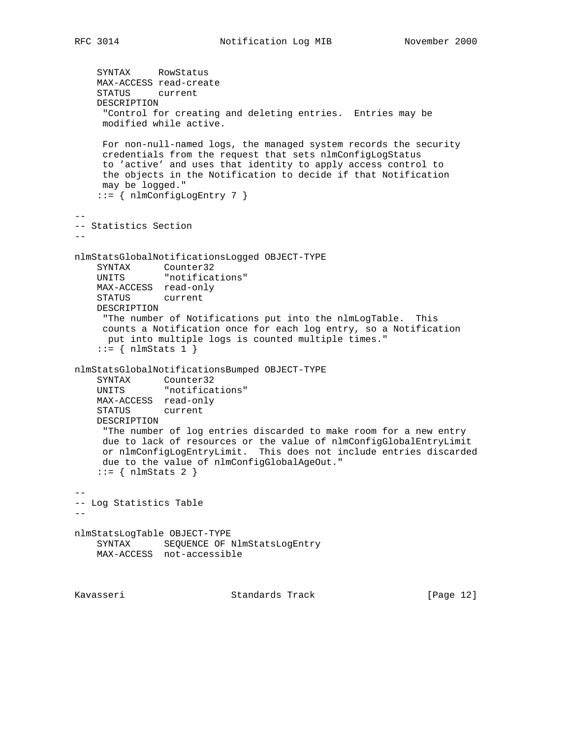```
 SYNTAX RowStatus
     MAX-ACCESS read-create
     STATUS current
     DESCRIPTION
      "Control for creating and deleting entries. Entries may be
     modified while active.
     For non-null-named logs, the managed system records the security
     credentials from the request that sets nlmConfigLogStatus
     to 'active' and uses that identity to apply access control to
     the objects in the Notification to decide if that Notification
     may be logged."
     ::= { nlmConfigLogEntry 7 }
--
-- Statistics Section
--
nlmStatsGlobalNotificationsLogged OBJECT-TYPE
   SYNTAX Counter32<br>UNITS "notificat
              "notifications"
    MAX-ACCESS read-only
    STATUS current
    DESCRIPTION
     "The number of Notifications put into the nlmLogTable. This
     counts a Notification once for each log entry, so a Notification
     put into multiple logs is counted multiple times."
    ::= { nlmStats 1 }
nlmStatsGlobalNotificationsBumped OBJECT-TYPE
   SYNTAX Counter32
     UNITS "notifications"
    MAX-ACCESS read-only
    STATUS current
    DESCRIPTION
     "The number of log entries discarded to make room for a new entry
     due to lack of resources or the value of nlmConfigGlobalEntryLimit
     or nlmConfigLogEntryLimit. This does not include entries discarded
     due to the value of nlmConfigGlobalAgeOut."
    ::= { nlmStats 2 }
--
-- Log Statistics Table
--nlmStatsLogTable OBJECT-TYPE
    SYNTAX SEQUENCE OF NlmStatsLogEntry
    MAX-ACCESS not-accessible
```
Kavasseri Standards Track [Page 12]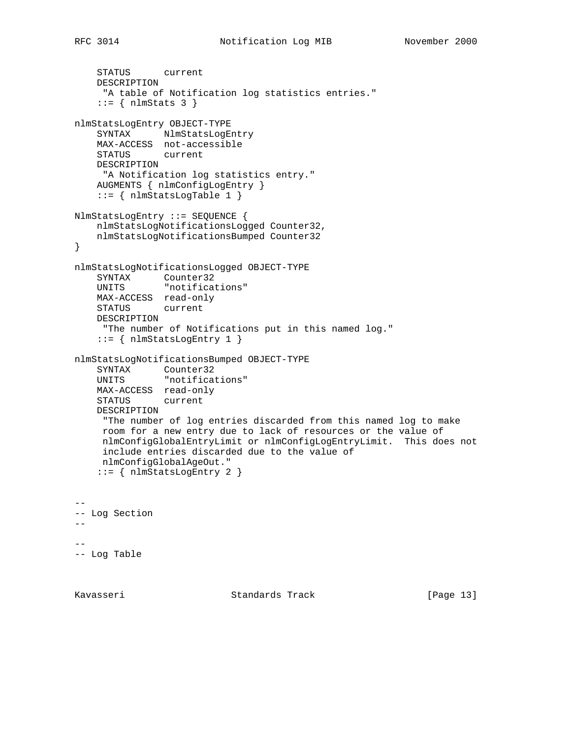```
 STATUS current
    DESCRIPTION
     "A table of Notification log statistics entries."
    ::= { nlmStats 3 }
nlmStatsLogEntry OBJECT-TYPE
   SYNTAX NlmStatsLogEntry
    MAX-ACCESS not-accessible
    STATUS current
    DESCRIPTION
     "A Notification log statistics entry."
    AUGMENTS { nlmConfigLogEntry }
   ::= { nlmStatsLogTable 1 }
NlmStatsLogEntry ::= SEQUENCE {
    nlmStatsLogNotificationsLogged Counter32,
    nlmStatsLogNotificationsBumped Counter32
}
nlmStatsLogNotificationsLogged OBJECT-TYPE
    SYNTAX Counter32
   UNITS "notifications"
    MAX-ACCESS read-only
    STATUS current
    DESCRIPTION
     "The number of Notifications put in this named log."
     ::= { nlmStatsLogEntry 1 }
nlmStatsLogNotificationsBumped OBJECT-TYPE
   SYNTAX Counter32
   UNITS "notifications"
    MAX-ACCESS read-only
    STATUS current
    DESCRIPTION
     "The number of log entries discarded from this named log to make
     room for a new entry due to lack of resources or the value of
     nlmConfigGlobalEntryLimit or nlmConfigLogEntryLimit. This does not
     include entries discarded due to the value of
     nlmConfigGlobalAgeOut."
     ::= { nlmStatsLogEntry 2 }
- --- Log Section
- ---
-- Log Table
```
Kavasseri Standards Track [Page 13]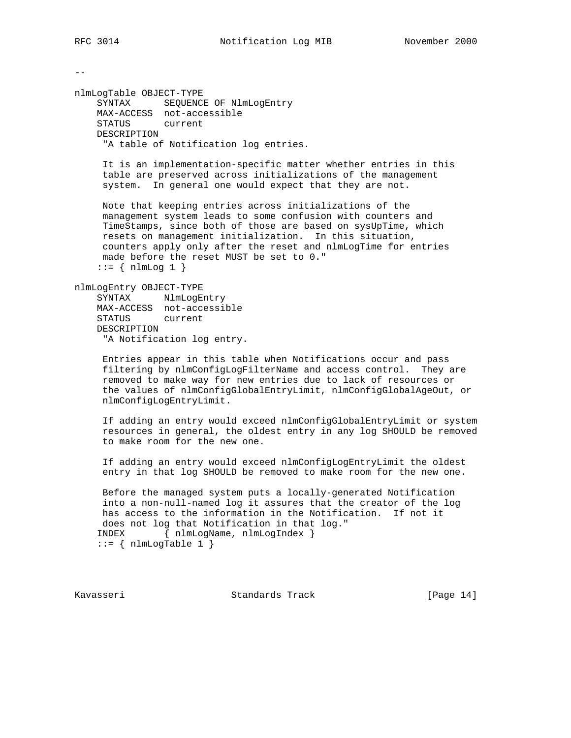$- -$ 

nlmLogTable OBJECT-TYPE SYNTAX SEQUENCE OF NlmLogEntry MAX-ACCESS not-accessible STATUS current DESCRIPTION "A table of Notification log entries.

> It is an implementation-specific matter whether entries in this table are preserved across initializations of the management system. In general one would expect that they are not.

 Note that keeping entries across initializations of the management system leads to some confusion with counters and TimeStamps, since both of those are based on sysUpTime, which resets on management initialization. In this situation, counters apply only after the reset and nlmLogTime for entries made before the reset MUST be set to 0."  $::= \{ \text{nlmLog } 1 \}$ 

nlmLogEntry OBJECT-TYPE

SYNTAX NlmLogEntry MAX-ACCESS not-accessible STATUS current DESCRIPTION "A Notification log entry.

 Entries appear in this table when Notifications occur and pass filtering by nlmConfigLogFilterName and access control. They are removed to make way for new entries due to lack of resources or the values of nlmConfigGlobalEntryLimit, nlmConfigGlobalAgeOut, or nlmConfigLogEntryLimit.

 If adding an entry would exceed nlmConfigGlobalEntryLimit or system resources in general, the oldest entry in any log SHOULD be removed to make room for the new one.

 If adding an entry would exceed nlmConfigLogEntryLimit the oldest entry in that log SHOULD be removed to make room for the new one.

 Before the managed system puts a locally-generated Notification into a non-null-named log it assures that the creator of the log has access to the information in the Notification. If not it does not log that Notification in that log." INDEX { nlmLogName, nlmLogIndex }  $::=$  { nlmLogTable 1 }

Kavasseri Standards Track [Page 14]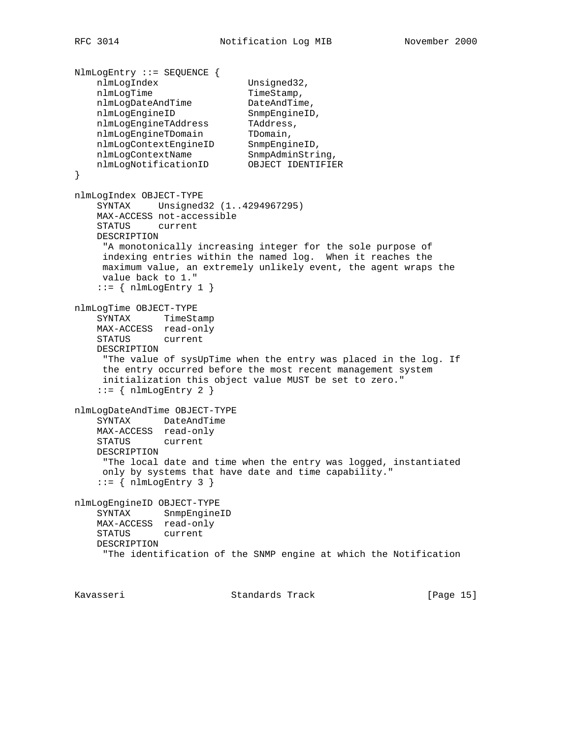```
NlmLogEntry ::= SEQUENCE {
nlmLogIndex Unsigned32,
nlmLogTime TimeStamp,
nlmLogDateAndTime DateAndTime,
nlmLogEngineID SnmpEngineID,
 nlmLogEngineTAddress TAddress,
nlmLogEngineTDomain TDomain,
 nlmLogContextEngineID SnmpEngineID,
nlmLogContextName SnmpAdminString,
 nlmLogNotificationID OBJECT IDENTIFIER
}
nlmLogIndex OBJECT-TYPE
    SYNTAX Unsigned32 (1..4294967295)
    MAX-ACCESS not-accessible
    STATUS current
    DESCRIPTION
     "A monotonically increasing integer for the sole purpose of
     indexing entries within the named log. When it reaches the
     maximum value, an extremely unlikely event, the agent wraps the
     value back to 1."
   ::= { nlmLogEntry 1 }
nlmLogTime OBJECT-TYPE
    SYNTAX TimeStamp
    MAX-ACCESS read-only
    STATUS current
    DESCRIPTION
     "The value of sysUpTime when the entry was placed in the log. If
     the entry occurred before the most recent management system
     initialization this object value MUST be set to zero."
   ::= { nlmLogEntry 2 }
nlmLogDateAndTime OBJECT-TYPE
    SYNTAX DateAndTime
    MAX-ACCESS read-only
    STATUS current
    DESCRIPTION
     "The local date and time when the entry was logged, instantiated
     only by systems that have date and time capability."
   ::= { nlmLogEntry 3 }
nlmLogEngineID OBJECT-TYPE
    SYNTAX SnmpEngineID
    MAX-ACCESS read-only
    STATUS current
    DESCRIPTION
     "The identification of the SNMP engine at which the Notification
```
Kavasseri Standards Track [Page 15]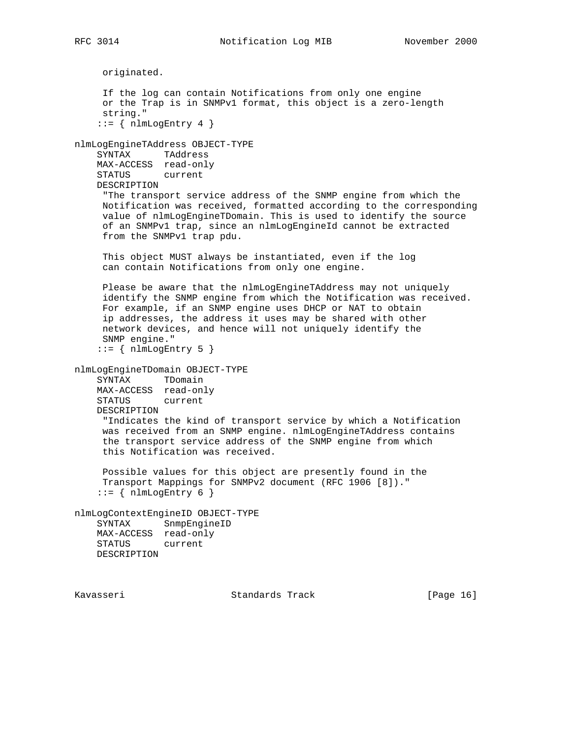originated. If the log can contain Notifications from only one engine or the Trap is in SNMPv1 format, this object is a zero-length string."  $::=$  { nlmLogEntry 4 } nlmLogEngineTAddress OBJECT-TYPE SYNTAX TAddress MAX-ACCESS read-only STATUS current DESCRIPTION "The transport service address of the SNMP engine from which the Notification was received, formatted according to the corresponding value of nlmLogEngineTDomain. This is used to identify the source of an SNMPv1 trap, since an nlmLogEngineId cannot be extracted from the SNMPv1 trap pdu. This object MUST always be instantiated, even if the log can contain Notifications from only one engine. Please be aware that the nlmLogEngineTAddress may not uniquely identify the SNMP engine from which the Notification was received. For example, if an SNMP engine uses DHCP or NAT to obtain ip addresses, the address it uses may be shared with other network devices, and hence will not uniquely identify the SNMP engine."  $::=$  { nlmLogEntry 5 } nlmLogEngineTDomain OBJECT-TYPE SYNTAX TDomain MAX-ACCESS read-only STATUS current DESCRIPTION "Indicates the kind of transport service by which a Notification was received from an SNMP engine. nlmLogEngineTAddress contains the transport service address of the SNMP engine from which this Notification was received. Possible values for this object are presently found in the Transport Mappings for SNMPv2 document (RFC 1906 [8])."  $::=$  { nlmLogEntry 6 } nlmLogContextEngineID OBJECT-TYPE SYNTAX SnmpEngineID MAX-ACCESS read-only STATUS current DESCRIPTION

Kavasseri Standards Track [Page 16]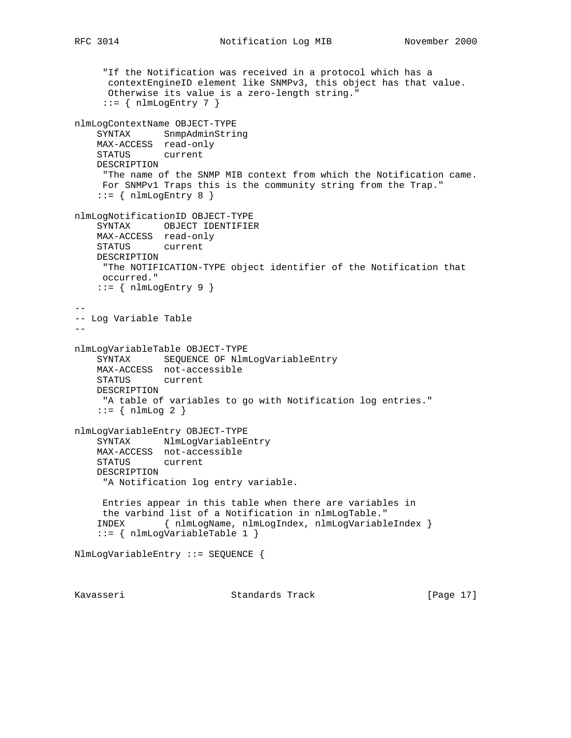```
 "If the Notification was received in a protocol which has a
      contextEngineID element like SNMPv3, this object has that value.
      Otherwise its value is a zero-length string."
     ::= { nlmLogEntry 7 }
nlmLogContextName OBJECT-TYPE
    SYNTAX SnmpAdminString
    MAX-ACCESS read-only
    STATUS current
    DESCRIPTION
     "The name of the SNMP MIB context from which the Notification came.
     For SNMPv1 Traps this is the community string from the Trap."
   ::= { nlmLogEntry 8 }
nlmLogNotificationID OBJECT-TYPE
    SYNTAX OBJECT IDENTIFIER
    MAX-ACCESS read-only
    STATUS current
    DESCRIPTION
     "The NOTIFICATION-TYPE object identifier of the Notification that
     occurred."
   ::= { nlmLogEntry 9 }
--
-- Log Variable Table
--
nlmLogVariableTable OBJECT-TYPE
    SYNTAX SEQUENCE OF NlmLogVariableEntry
    MAX-ACCESS not-accessible
    STATUS current
    DESCRIPTION
     "A table of variables to go with Notification log entries."
   ::= { nlmLog 2 }
nlmLogVariableEntry OBJECT-TYPE
   SYNTAX NlmLogVariableEntry
    MAX-ACCESS not-accessible
    STATUS current
    DESCRIPTION
     "A Notification log entry variable.
     Entries appear in this table when there are variables in
     the varbind list of a Notification in nlmLogTable."
    INDEX { nlmLogName, nlmLogIndex, nlmLogVariableIndex }
     ::= { nlmLogVariableTable 1 }
NlmLogVariableEntry ::= SEQUENCE {
Kavasseri Standards Track [Page 17]
```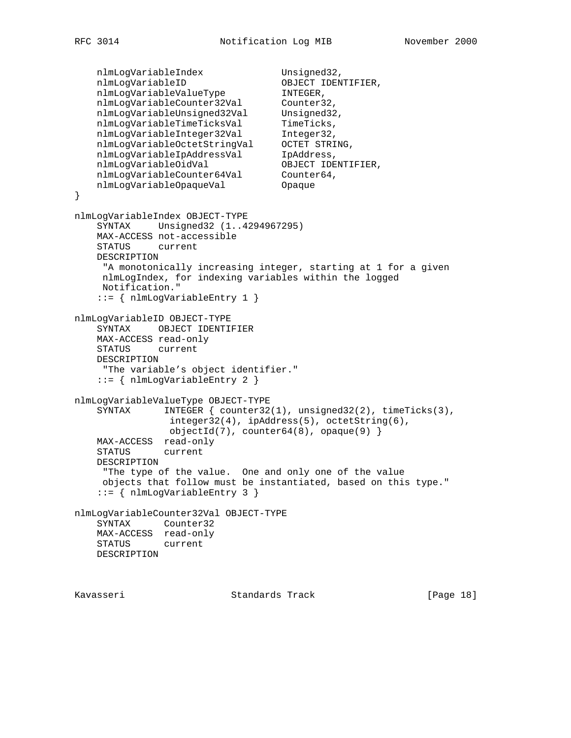```
nlmLogVariableIndex Unsigned32,
 nlmLogVariableID OBJECT IDENTIFIER,
 nlmLogVariableValueType INTEGER,
 nlmLogVariableCounter32Val Counter32,
 nlmLogVariableUnsigned32Val Unsigned32,
nlmLogVariableTimeTicksVal TimeTicks,
 nlmLogVariableInteger32Val Integer32,
 nlmLogVariableOctetStringVal OCTET STRING,
nlmLogVariableIpAddressVal IpAddress,
nlmLogVariableOidVal                         OBJECT IDENTIFIER,
 nlmLogVariableCounter64Val Counter64,
 nlmLogVariableOpaqueVal Opaque
}
nlmLogVariableIndex OBJECT-TYPE
    SYNTAX Unsigned32 (1..4294967295)
    MAX-ACCESS not-accessible
    STATUS current
    DESCRIPTION
     "A monotonically increasing integer, starting at 1 for a given
     nlmLogIndex, for indexing variables within the logged
     Notification."
    ::= { nlmLogVariableEntry 1 }
nlmLogVariableID OBJECT-TYPE
    SYNTAX OBJECT IDENTIFIER
    MAX-ACCESS read-only
    STATUS current
    DESCRIPTION
     "The variable's object identifier."
    ::= { nlmLogVariableEntry 2 }
nlmLogVariableValueType OBJECT-TYPE
    SYNTAX INTEGER { counter32(1), unsigned32(2), timeTicks(3),
                integer32(4), ipAddress(5), octetString(6),
               objectId(7), counter64(8), opaque(9) }
    MAX-ACCESS read-only
    STATUS current
    DESCRIPTION
     "The type of the value. One and only one of the value
     objects that follow must be instantiated, based on this type."
    ::= { nlmLogVariableEntry 3 }
nlmLogVariableCounter32Val OBJECT-TYPE
    SYNTAX Counter32
    MAX-ACCESS read-only
    STATUS current
    DESCRIPTION
```
Kavasseri Standards Track [Page 18]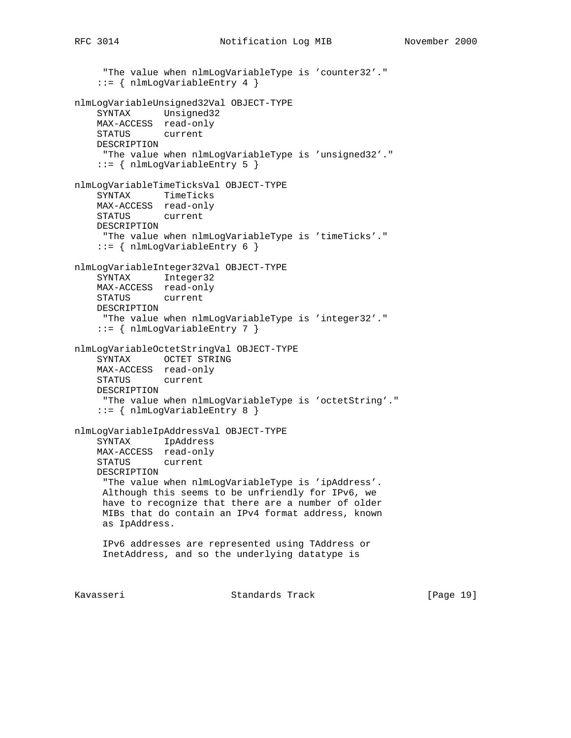"The value when nlmLogVariableType is 'counter32'."

```
 ::= { nlmLogVariableEntry 4 }
nlmLogVariableUnsigned32Val OBJECT-TYPE
     SYNTAX Unsigned32
    MAX-ACCESS read-only
    STATUS current
    DESCRIPTION
     "The value when nlmLogVariableType is 'unsigned32'."
     ::= { nlmLogVariableEntry 5 }
nlmLogVariableTimeTicksVal OBJECT-TYPE
     SYNTAX TimeTicks
    MAX-ACCESS read-only
    STATUS current
    DESCRIPTION
     "The value when nlmLogVariableType is 'timeTicks'."
     ::= { nlmLogVariableEntry 6 }
nlmLogVariableInteger32Val OBJECT-TYPE
    SYNTAX Integer32
    MAX-ACCESS read-only
    STATUS current
    DESCRIPTION
     "The value when nlmLogVariableType is 'integer32'."
     ::= { nlmLogVariableEntry 7 }
nlmLogVariableOctetStringVal OBJECT-TYPE
    SYNTAX OCTET STRING
    MAX-ACCESS read-only
    STATUS current
    DESCRIPTION
     "The value when nlmLogVariableType is 'octetString'."
     ::= { nlmLogVariableEntry 8 }
nlmLogVariableIpAddressVal OBJECT-TYPE
    SYNTAX IpAddress
    MAX-ACCESS read-only
    STATUS current
    DESCRIPTION
      "The value when nlmLogVariableType is 'ipAddress'.
     Although this seems to be unfriendly for IPv6, we
     have to recognize that there are a number of older
     MIBs that do contain an IPv4 format address, known
     as IpAddress.
     IPv6 addresses are represented using TAddress or
     InetAddress, and so the underlying datatype is
```
Kavasseri Standards Track [Page 19]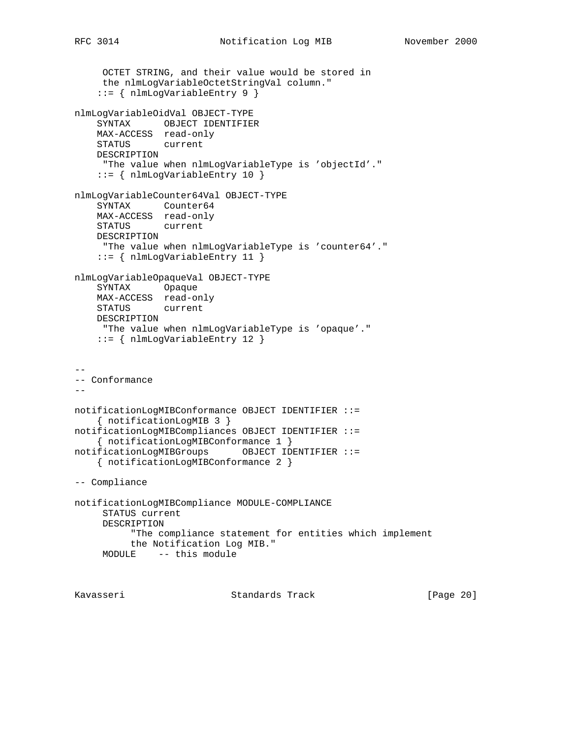```
 OCTET STRING, and their value would be stored in
     the nlmLogVariableOctetStringVal column."
     ::= { nlmLogVariableEntry 9 }
nlmLogVariableOidVal OBJECT-TYPE
    SYNTAX OBJECT IDENTIFIER
    MAX-ACCESS read-only
    STATUS current
    DESCRIPTION
```

```
 "The value when nlmLogVariableType is 'objectId'."
     ::= { nlmLogVariableEntry 10 }
nlmLogVariableCounter64Val OBJECT-TYPE
     SYNTAX Counter64
     MAX-ACCESS read-only
    STATUS current
    DESCRIPTION
     "The value when nlmLogVariableType is 'counter64'."
    ::= { nlmLogVariableEntry 11 }
```

```
nlmLogVariableOpaqueVal OBJECT-TYPE
    SYNTAX Opaque
    MAX-ACCESS read-only
    STATUS current
    DESCRIPTION
     "The value when nlmLogVariableType is 'opaque'."
```

```
 ::= { nlmLogVariableEntry 12 }
```
the Notification Log MIB."

MODULE -- this module

```
--
-- Conformance
--notificationLogMIBConformance OBJECT IDENTIFIER ::=
    { notificationLogMIB 3 }
notificationLogMIBCompliances OBJECT IDENTIFIER ::=
    { notificationLogMIBConformance 1 }
notificationLogMIBGroups OBJECT IDENTIFIER ::=
    { notificationLogMIBConformance 2 }
-- Compliance
notificationLogMIBCompliance MODULE-COMPLIANCE
     STATUS current
     DESCRIPTION
           "The compliance statement for entities which implement
```

```
Kavasseri     Standards Track     [Page 20]
```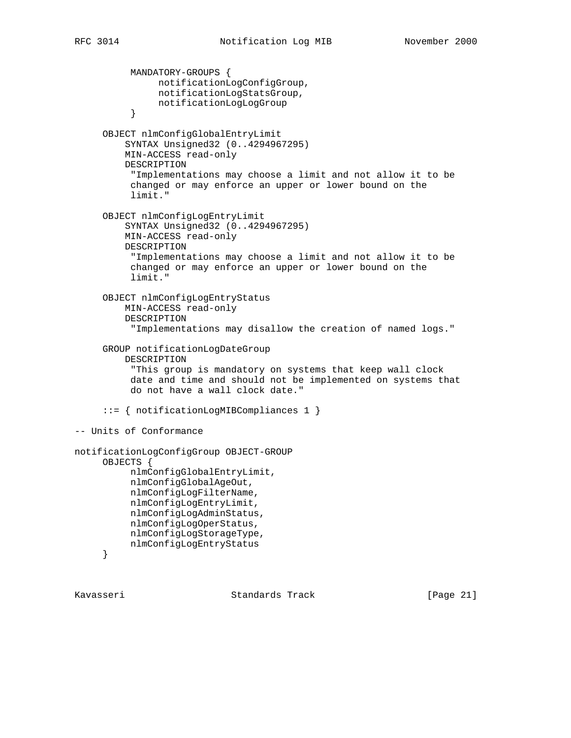```
 MANDATORY-GROUPS {
                notificationLogConfigGroup,
                notificationLogStatsGroup,
          notificationLogLogGroup<br>}
 }
      OBJECT nlmConfigGlobalEntryLimit
          SYNTAX Unsigned32 (0..4294967295)
          MIN-ACCESS read-only
          DESCRIPTION
           "Implementations may choose a limit and not allow it to be
           changed or may enforce an upper or lower bound on the
           limit."
      OBJECT nlmConfigLogEntryLimit
          SYNTAX Unsigned32 (0..4294967295)
          MIN-ACCESS read-only
          DESCRIPTION
           "Implementations may choose a limit and not allow it to be
           changed or may enforce an upper or lower bound on the
           limit."
      OBJECT nlmConfigLogEntryStatus
          MIN-ACCESS read-only
          DESCRIPTION
           "Implementations may disallow the creation of named logs."
      GROUP notificationLogDateGroup
          DESCRIPTION
           "This group is mandatory on systems that keep wall clock
           date and time and should not be implemented on systems that
           do not have a wall clock date."
      ::= { notificationLogMIBCompliances 1 }
-- Units of Conformance
notificationLogConfigGroup OBJECT-GROUP
      OBJECTS {
           nlmConfigGlobalEntryLimit,
           nlmConfigGlobalAgeOut,
           nlmConfigLogFilterName,
           nlmConfigLogEntryLimit,
           nlmConfigLogAdminStatus,
           nlmConfigLogOperStatus,
           nlmConfigLogStorageType,
           nlmConfigLogEntryStatus
      }
```
Kavasseri Standards Track [Page 21]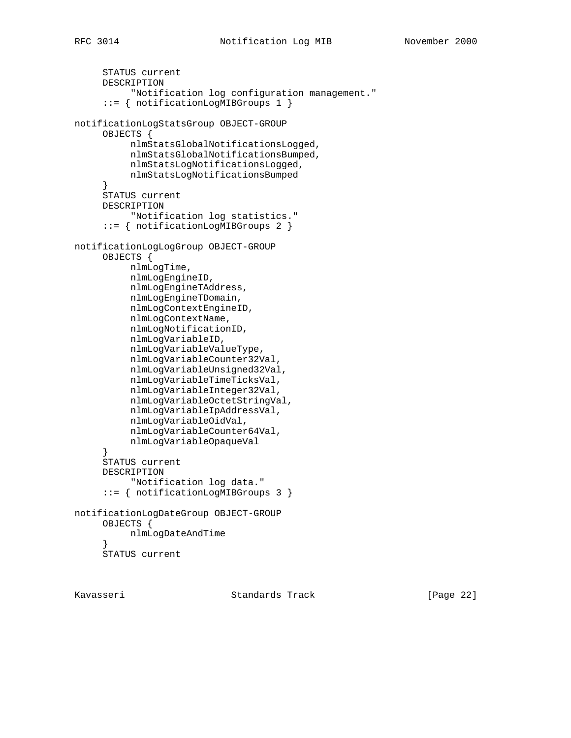```
 STATUS current
      DESCRIPTION
            "Notification log configuration management."
      ::= { notificationLogMIBGroups 1 }
notificationLogStatsGroup OBJECT-GROUP
      OBJECTS {
           nlmStatsGlobalNotificationsLogged,
           nlmStatsGlobalNotificationsBumped,
           nlmStatsLogNotificationsLogged,
           nlmStatsLogNotificationsBumped
      }
      STATUS current
      DESCRIPTION
           "Notification log statistics."
      ::= { notificationLogMIBGroups 2 }
notificationLogLogGroup OBJECT-GROUP
      OBJECTS {
           nlmLogTime,
           nlmLogEngineID,
           nlmLogEngineTAddress,
           nlmLogEngineTDomain,
           nlmLogContextEngineID,
           nlmLogContextName,
           nlmLogNotificationID,
           nlmLogVariableID,
           nlmLogVariableValueType,
           nlmLogVariableCounter32Val,
           nlmLogVariableUnsigned32Val,
           nlmLogVariableTimeTicksVal,
           nlmLogVariableInteger32Val,
           nlmLogVariableOctetStringVal,
           nlmLogVariableIpAddressVal,
           nlmLogVariableOidVal,
           nlmLogVariableCounter64Val,
           nlmLogVariableOpaqueVal
      }
      STATUS current
      DESCRIPTION
           "Notification log data."
      ::= { notificationLogMIBGroups 3 }
notificationLogDateGroup OBJECT-GROUP
      OBJECTS {
           nlmLogDateAndTime
 }
      STATUS current
```
Kavasseri Standards Track [Page 22]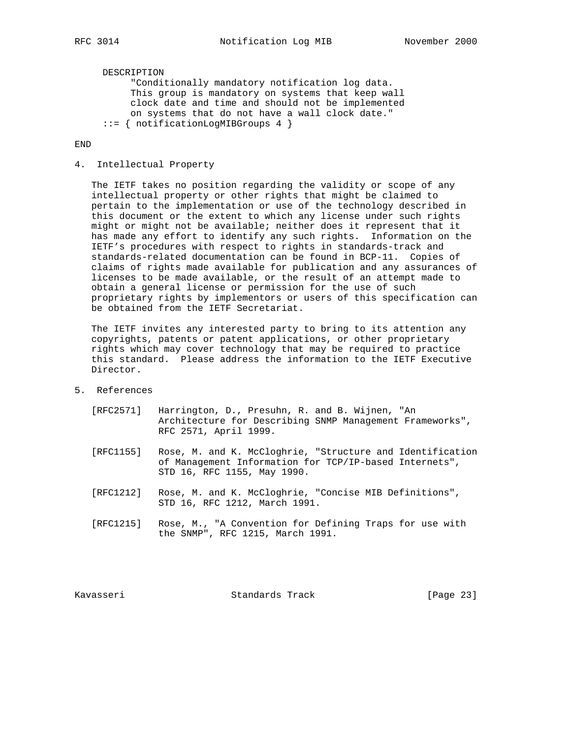DESCRIPTION "Conditionally mandatory notification log data. This group is mandatory on systems that keep wall clock date and time and should not be implemented on systems that do not have a wall clock date." ::= { notificationLogMIBGroups 4 }

END

#### 4. Intellectual Property

 The IETF takes no position regarding the validity or scope of any intellectual property or other rights that might be claimed to pertain to the implementation or use of the technology described in this document or the extent to which any license under such rights might or might not be available; neither does it represent that it has made any effort to identify any such rights. Information on the IETF's procedures with respect to rights in standards-track and standards-related documentation can be found in BCP-11. Copies of claims of rights made available for publication and any assurances of licenses to be made available, or the result of an attempt made to obtain a general license or permission for the use of such proprietary rights by implementors or users of this specification can be obtained from the IETF Secretariat.

 The IETF invites any interested party to bring to its attention any copyrights, patents or patent applications, or other proprietary rights which may cover technology that may be required to practice this standard. Please address the information to the IETF Executive Director.

- 5. References
	- [RFC2571] Harrington, D., Presuhn, R. and B. Wijnen, "An Architecture for Describing SNMP Management Frameworks", RFC 2571, April 1999.
	- [RFC1155] Rose, M. and K. McCloghrie, "Structure and Identification of Management Information for TCP/IP-based Internets", STD 16, RFC 1155, May 1990.
	- [RFC1212] Rose, M. and K. McCloghrie, "Concise MIB Definitions", STD 16, RFC 1212, March 1991.
	- [RFC1215] Rose, M., "A Convention for Defining Traps for use with the SNMP", RFC 1215, March 1991.

Kavasseri Standards Track [Page 23]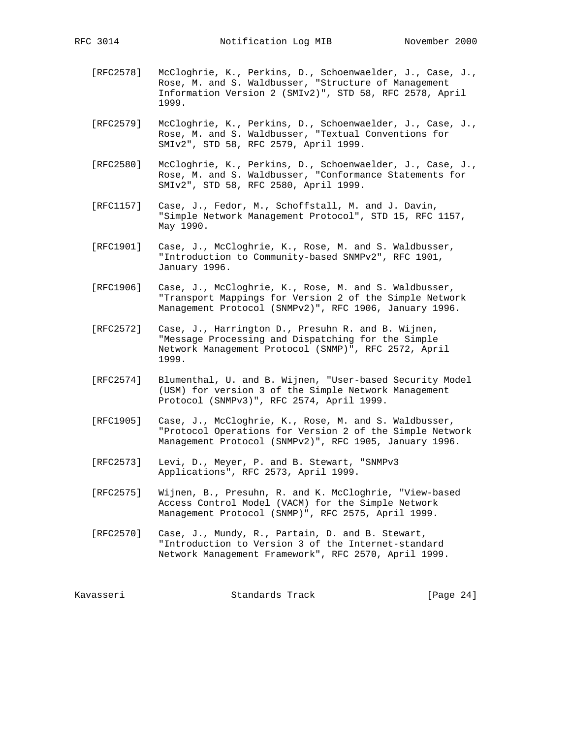- [RFC2578] McCloghrie, K., Perkins, D., Schoenwaelder, J., Case, J., Rose, M. and S. Waldbusser, "Structure of Management Information Version 2 (SMIv2)", STD 58, RFC 2578, April 1999.
- [RFC2579] McCloghrie, K., Perkins, D., Schoenwaelder, J., Case, J., Rose, M. and S. Waldbusser, "Textual Conventions for SMIv2", STD 58, RFC 2579, April 1999.
- [RFC2580] McCloghrie, K., Perkins, D., Schoenwaelder, J., Case, J., Rose, M. and S. Waldbusser, "Conformance Statements for SMIv2", STD 58, RFC 2580, April 1999.
- [RFC1157] Case, J., Fedor, M., Schoffstall, M. and J. Davin, "Simple Network Management Protocol", STD 15, RFC 1157, May 1990.
- [RFC1901] Case, J., McCloghrie, K., Rose, M. and S. Waldbusser, "Introduction to Community-based SNMPv2", RFC 1901, January 1996.
- [RFC1906] Case, J., McCloghrie, K., Rose, M. and S. Waldbusser, "Transport Mappings for Version 2 of the Simple Network Management Protocol (SNMPv2)", RFC 1906, January 1996.
- [RFC2572] Case, J., Harrington D., Presuhn R. and B. Wijnen, "Message Processing and Dispatching for the Simple Network Management Protocol (SNMP)", RFC 2572, April 1999.
- [RFC2574] Blumenthal, U. and B. Wijnen, "User-based Security Model (USM) for version 3 of the Simple Network Management Protocol (SNMPv3)", RFC 2574, April 1999.
- [RFC1905] Case, J., McCloghrie, K., Rose, M. and S. Waldbusser, "Protocol Operations for Version 2 of the Simple Network Management Protocol (SNMPv2)", RFC 1905, January 1996.
- [RFC2573] Levi, D., Meyer, P. and B. Stewart, "SNMPv3 Applications", RFC 2573, April 1999.
- [RFC2575] Wijnen, B., Presuhn, R. and K. McCloghrie, "View-based Access Control Model (VACM) for the Simple Network Management Protocol (SNMP)", RFC 2575, April 1999.
- [RFC2570] Case, J., Mundy, R., Partain, D. and B. Stewart, "Introduction to Version 3 of the Internet-standard Network Management Framework", RFC 2570, April 1999.

Kavasseri Standards Track [Page 24]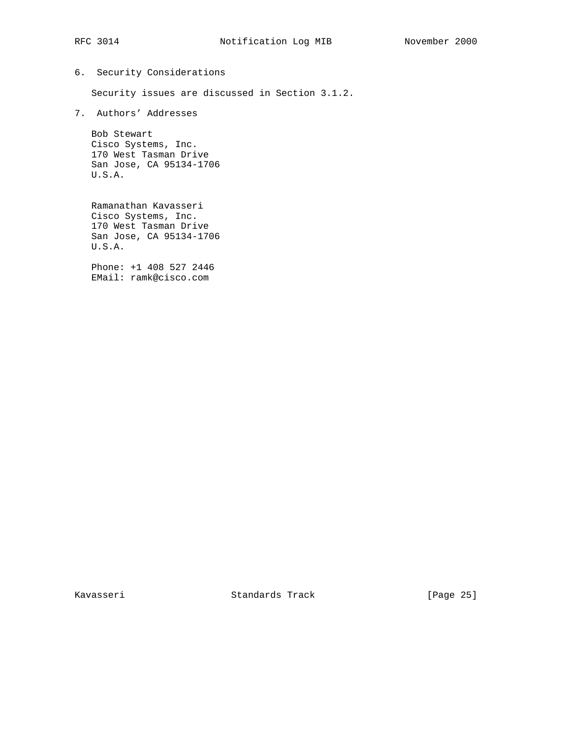# 6. Security Considerations

Security issues are discussed in Section 3.1.2.

7. Authors' Addresses

 Bob Stewart Cisco Systems, Inc. 170 West Tasman Drive San Jose, CA 95134-1706 U.S.A.

 Ramanathan Kavasseri Cisco Systems, Inc. 170 West Tasman Drive San Jose, CA 95134-1706 U.S.A.

 Phone: +1 408 527 2446 EMail: ramk@cisco.com

Kavasseri Standards Track [Page 25]